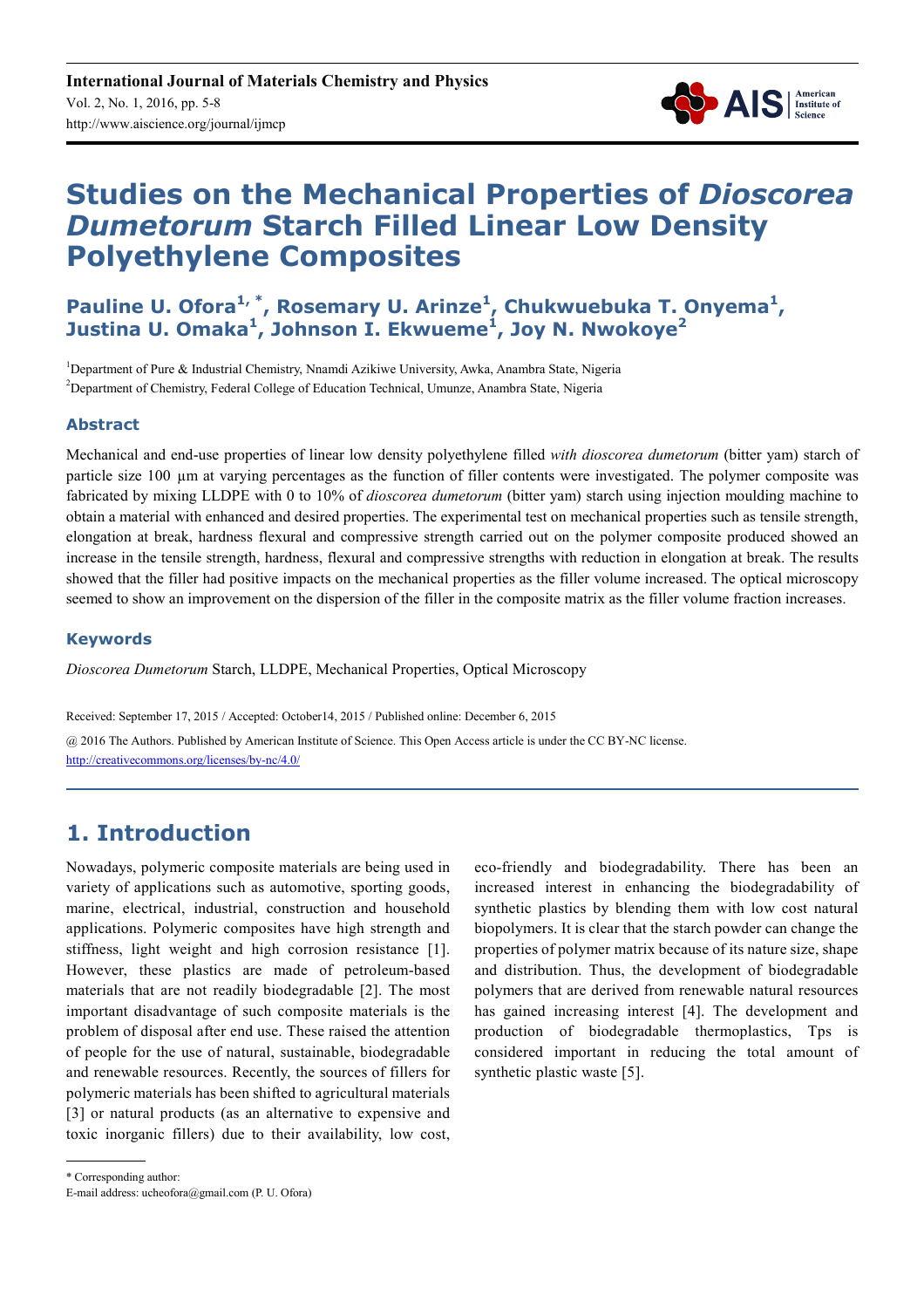

# **Studies on the Mechanical Properties of** *Dioscorea Dumetorum* **Starch Filled Linear Low Density Polyethylene Composites**

Pauline U. Ofora<sup>1,\*</sup>, Rosemary U. Arinze<sup>1</sup>, Chukwuebuka T. Onyema<sup>1</sup>, **Justina U. Omaka<sup>1</sup> , Johnson I. Ekwueme<sup>1</sup> , Joy N. Nwokoye<sup>2</sup>**

<sup>1</sup>Department of Pure & Industrial Chemistry, Nnamdi Azikiwe University, Awka, Anambra State, Nigeria <sup>2</sup>Department of Chemistry, Federal College of Education Technical, Umunze, Anambra State, Nigeria

# **Abstract**

Mechanical and end-use properties of linear low density polyethylene filled *with dioscorea dumetorum* (bitter yam) starch of particle size 100 µm at varying percentages as the function of filler contents were investigated. The polymer composite was fabricated by mixing LLDPE with 0 to 10% of *dioscorea dumetorum* (bitter yam) starch using injection moulding machine to obtain a material with enhanced and desired properties. The experimental test on mechanical properties such as tensile strength, elongation at break, hardness flexural and compressive strength carried out on the polymer composite produced showed an increase in the tensile strength, hardness, flexural and compressive strengths with reduction in elongation at break. The results showed that the filler had positive impacts on the mechanical properties as the filler volume increased. The optical microscopy seemed to show an improvement on the dispersion of the filler in the composite matrix as the filler volume fraction increases.

## **Keywords**

*Dioscorea Dumetorum* Starch, LLDPE, Mechanical Properties, Optical Microscopy

Received: September 17, 2015 / Accepted: October14, 2015 / Published online: December 6, 2015

@ 2016 The Authors. Published by American Institute of Science. This Open Access article is under the CC BY-NC license. http://creativecommons.org/licenses/by-nc/4.0/

# **1. Introduction**

Nowadays, polymeric composite materials are being used in variety of applications such as automotive, sporting goods, marine, electrical, industrial, construction and household applications. Polymeric composites have high strength and stiffness, light weight and high corrosion resistance [1]. However, these plastics are made of petroleum-based materials that are not readily biodegradable [2]. The most important disadvantage of such composite materials is the problem of disposal after end use. These raised the attention of people for the use of natural, sustainable, biodegradable and renewable resources. Recently, the sources of fillers for polymeric materials has been shifted to agricultural materials [3] or natural products (as an alternative to expensive and toxic inorganic fillers) due to their availability, low cost, eco-friendly and biodegradability. There has been an increased interest in enhancing the biodegradability of synthetic plastics by blending them with low cost natural biopolymers. It is clear that the starch powder can change the properties of polymer matrix because of its nature size, shape and distribution. Thus, the development of biodegradable polymers that are derived from renewable natural resources has gained increasing interest [4]. The development and production of biodegradable thermoplastics, Tps is considered important in reducing the total amount of synthetic plastic waste [5].

<sup>\*</sup> Corresponding author:

E-mail address: ucheofora@gmail.com (P. U. Ofora)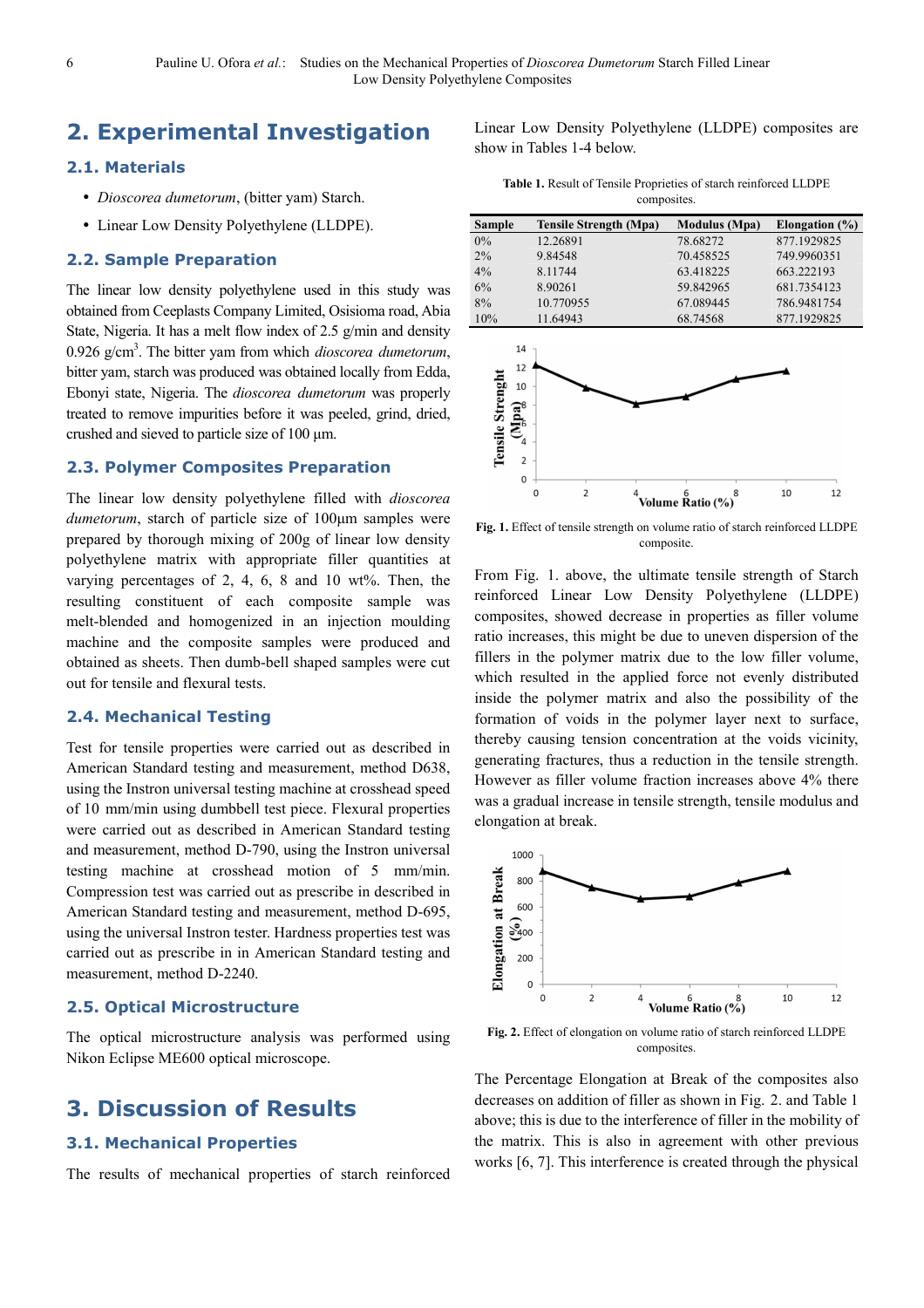# **2. Experimental Investigation**

### **2.1. Materials**

- *Dioscorea dumetorum*, (bitter yam) Starch.
- Linear Low Density Polyethylene (LLDPE).

#### **2.2. Sample Preparation**

The linear low density polyethylene used in this study was obtained from Ceeplasts Company Limited, Osisioma road, Abia State, Nigeria. It has a melt flow index of 2.5 g/min and density 0.926 g/cm<sup>3</sup> . The bitter yam from which *dioscorea dumetorum*, bitter yam, starch was produced was obtained locally from Edda, Ebonyi state, Nigeria. The *dioscorea dumetorum* was properly treated to remove impurities before it was peeled, grind, dried, crushed and sieved to particle size of 100 µm.

# **2.3. Polymer Composites Preparation**

The linear low density polyethylene filled with *dioscorea dumetorum*, starch of particle size of 100µm samples were prepared by thorough mixing of 200g of linear low density polyethylene matrix with appropriate filler quantities at varying percentages of 2, 4, 6, 8 and 10 wt%. Then, the resulting constituent of each composite sample was melt-blended and homogenized in an injection moulding machine and the composite samples were produced and obtained as sheets. Then dumb-bell shaped samples were cut out for tensile and flexural tests.

#### **2.4. Mechanical Testing**

Test for tensile properties were carried out as described in American Standard testing and measurement, method D638, using the Instron universal testing machine at crosshead speed of 10 mm/min using dumbbell test piece. Flexural properties were carried out as described in American Standard testing and measurement, method D-790, using the Instron universal testing machine at crosshead motion of 5 mm/min. Compression test was carried out as prescribe in described in American Standard testing and measurement, method D-695, using the universal Instron tester. Hardness properties test was carried out as prescribe in in American Standard testing and measurement, method D-2240.

#### **2.5. Optical Microstructure**

The optical microstructure analysis was performed using Nikon Eclipse ME600 optical microscope.

# **3. Discussion of Results**

## **3.1. Mechanical Properties**

The results of mechanical properties of starch reinforced

Linear Low Density Polyethylene (LLDPE) composites are show in Tables 1-4 below.

**Table 1.** Result of Tensile Proprieties of starch reinforced LLDPE composites.

| <b>Sample</b>             | <b>Tensile Strength (Mpa)</b> | <b>Modulus</b> (Mpa) | Elongation $(\%)$ |
|---------------------------|-------------------------------|----------------------|-------------------|
| 0%                        | 12.26891                      | 78.68272             | 877.1929825       |
| 2%                        | 9.84548                       | 70.458525            | 749.9960351       |
| 4%                        | 8.11744                       | 63.418225            | 663.222193        |
| 6%                        | 8.90261                       | 59.842965            | 681.7354123       |
| 8%                        | 10.770955                     | 67.089445            | 786.9481754       |
| 10%                       | 11.64943                      | 68.74568             | 877.1929825       |
| 14<br>12<br>Strengh<br>10 |                               |                      |                   |



**Fig. 1.** Effect of tensile strength on volume ratio of starch reinforced LLDPE composite.

From Fig. 1. above, the ultimate tensile strength of Starch reinforced Linear Low Density Polyethylene (LLDPE) composites, showed decrease in properties as filler volume ratio increases, this might be due to uneven dispersion of the fillers in the polymer matrix due to the low filler volume, which resulted in the applied force not evenly distributed inside the polymer matrix and also the possibility of the formation of voids in the polymer layer next to surface, thereby causing tension concentration at the voids vicinity, generating fractures, thus a reduction in the tensile strength. However as filler volume fraction increases above 4% there was a gradual increase in tensile strength, tensile modulus and elongation at break.



**Fig. 2.** Effect of elongation on volume ratio of starch reinforced LLDPE composites.

The Percentage Elongation at Break of the composites also decreases on addition of filler as shown in Fig. 2. and Table 1 above; this is due to the interference of filler in the mobility of the matrix. This is also in agreement with other previous works [6, 7]. This interference is created through the physical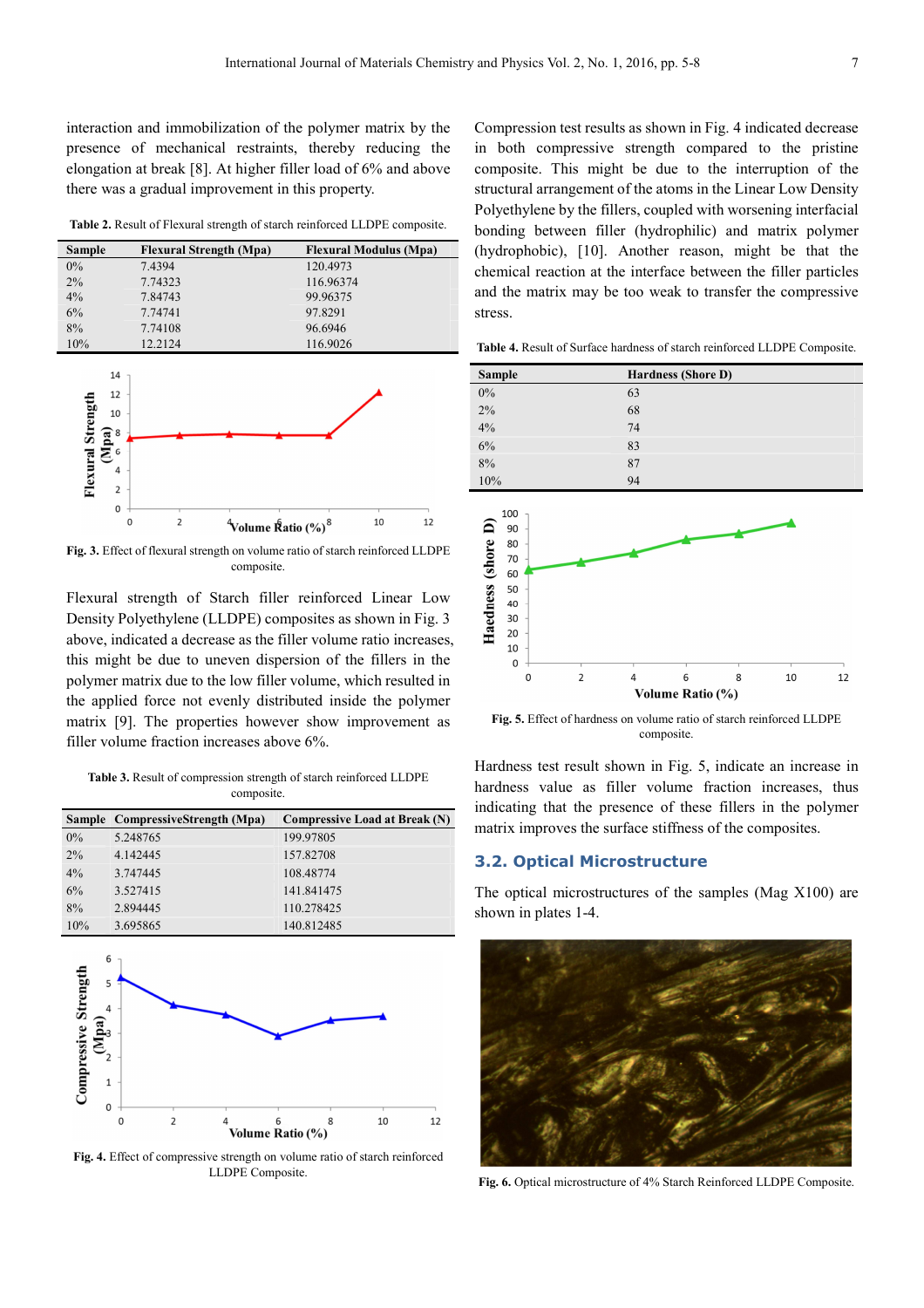interaction and immobilization of the polymer matrix by the presence of mechanical restraints, thereby reducing the elongation at break [8]. At higher filler load of 6% and above there was a gradual improvement in this property.

**Table 2.** Result of Flexural strength of starch reinforced LLDPE composite.

| <b>Sample</b> | <b>Flexural Strength (Mpa)</b> | <b>Flexural Modulus (Mpa)</b> |
|---------------|--------------------------------|-------------------------------|
| $0\%$         | 7.4394                         | 120.4973                      |
| 2%            | 7.74323                        | 116.96374                     |
| 4%            | 7.84743                        | 99.96375                      |
| 6%            | 7.74741                        | 97.8291                       |
| 8%            | 7.74108                        | 96.6946                       |
| 10%           | 12.2124                        | 116.9026                      |



**Fig. 3.** Effect of flexural strength on volume ratio of starch reinforced LLDPE composite.

Flexural strength of Starch filler reinforced Linear Low Density Polyethylene (LLDPE) composites as shown in Fig. 3 above, indicated a decrease as the filler volume ratio increases, this might be due to uneven dispersion of the fillers in the polymer matrix due to the low filler volume, which resulted in the applied force not evenly distributed inside the polymer matrix [9]. The properties however show improvement as filler volume fraction increases above 6%.

**Table 3.** Result of compression strength of starch reinforced LLDPE composite.

|       | Sample CompressiveStrength (Mpa) | <b>Compressive Load at Break (N)</b> |
|-------|----------------------------------|--------------------------------------|
| $0\%$ | 5.248765                         | 199.97805                            |
| 2%    | 4.142445                         | 157.82708                            |
| $4\%$ | 3.747445                         | 108.48774                            |
| 6%    | 3.527415                         | 141.841475                           |
| 8%    | 2.894445                         | 110.278425                           |
| 10%   | 3.695865                         | 140.812485                           |



**Fig. 4.** Effect of compressive strength on volume ratio of starch reinforced LLDPE Composite.

Compression test results as shown in Fig. 4 indicated decrease in both compressive strength compared to the pristine composite. This might be due to the interruption of the structural arrangement of the atoms in the Linear Low Density Polyethylene by the fillers, coupled with worsening interfacial bonding between filler (hydrophilic) and matrix polymer (hydrophobic), [10]. Another reason, might be that the chemical reaction at the interface between the filler particles and the matrix may be too weak to transfer the compressive stress.

**Table 4.** Result of Surface hardness of starch reinforced LLDPE Composite.

| <b>Sample</b> | <b>Hardness (Shore D)</b> |
|---------------|---------------------------|
| $0\%$         | 63                        |
| 2%            | 68                        |
| 4%            | 74                        |
| 6%            | 83                        |
| 8%            | 87                        |
| 10%           | 94                        |



**Fig. 5.** Effect of hardness on volume ratio of starch reinforced LLDPE composite.

Hardness test result shown in Fig. 5, indicate an increase in hardness value as filler volume fraction increases, thus indicating that the presence of these fillers in the polymer matrix improves the surface stiffness of the composites.

### **3.2. Optical Microstructure**

The optical microstructures of the samples (Mag X100) are shown in plates 1-4.



**Fig. 6.** Optical microstructure of 4% Starch Reinforced LLDPE Composite.